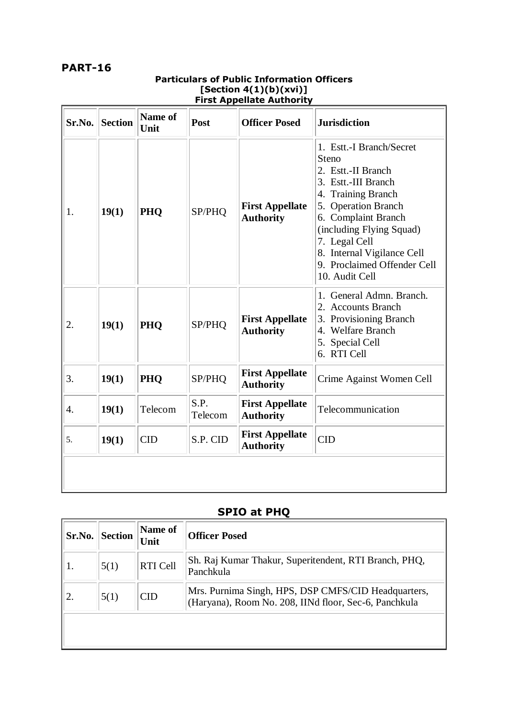## **PART-16**

| Sr.No. | <b>Section</b> | Name of<br>Unit | Post            | ן וואג הррспасс הענווטו ונץ<br><b>Officer Posed</b> | <b>Jurisdiction</b>                                                                                                                                                                                                                                                            |
|--------|----------------|-----------------|-----------------|-----------------------------------------------------|--------------------------------------------------------------------------------------------------------------------------------------------------------------------------------------------------------------------------------------------------------------------------------|
| 1.     | 19(1)          | PHQ             | SP/PHQ          | <b>First Appellate</b><br><b>Authority</b>          | 1. Estt.-I Branch/Secret<br>Steno<br>2. Estt.-II Branch<br>3. Estt.-III Branch<br>4. Training Branch<br>5. Operation Branch<br>6. Complaint Branch<br>(including Flying Squad)<br>7. Legal Cell<br>8. Internal Vigilance Cell<br>9. Proclaimed Offender Cell<br>10. Audit Cell |
| 2.     | 19(1)          | PHQ             | SP/PHQ          | <b>First Appellate</b><br><b>Authority</b>          | General Admn. Branch.<br>2. Accounts Branch<br>3. Provisioning Branch<br>4. Welfare Branch<br>5. Special Cell<br>6. RTI Cell                                                                                                                                                   |
| 3.     | 19(1)          | PHO             | SP/PHQ          | <b>First Appellate</b><br><b>Authority</b>          | Crime Against Women Cell                                                                                                                                                                                                                                                       |
| 4.     | 19(1)          | Telecom         | S.P.<br>Telecom | <b>First Appellate</b><br><b>Authority</b>          | Telecommunication                                                                                                                                                                                                                                                              |
| 5.     | 19(1)          | <b>CID</b>      | S.P. CID        | <b>First Appellate</b><br><b>Authority</b>          | <b>CID</b>                                                                                                                                                                                                                                                                     |
|        |                |                 |                 |                                                     |                                                                                                                                                                                                                                                                                |

## **Particulars of Public Information Officers [Section 4(1)(b)(xvi)] First Appellate Authority**

## **SPIO at PHQ**

| Sr.No. | <b>Section</b> | Name of<br>Unit | <b>Officer Posed</b>                                                                                         |
|--------|----------------|-----------------|--------------------------------------------------------------------------------------------------------------|
|        | 5(1)           | <b>RTI</b> Cell | Sh. Raj Kumar Thakur, Superitendent, RTI Branch, PHQ,<br>Panchkula                                           |
|        | 5(1)           | <b>CID</b>      | Mrs. Purnima Singh, HPS, DSP CMFS/CID Headquarters,<br>(Haryana), Room No. 208, IINd floor, Sec-6, Panchkula |
|        |                |                 |                                                                                                              |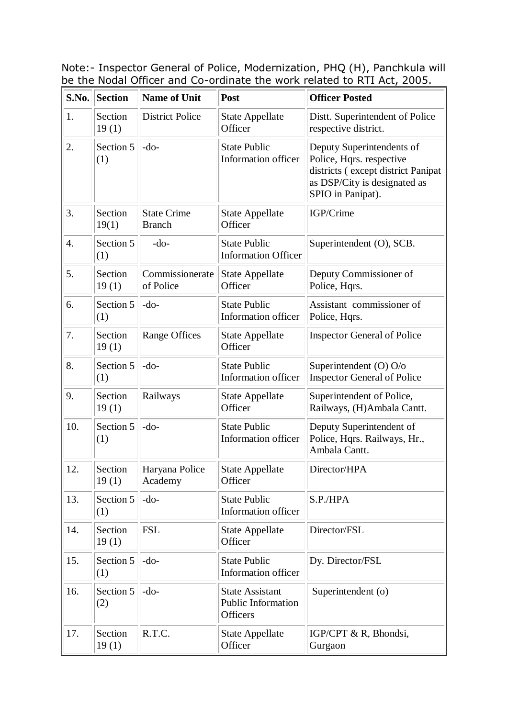Note:- Inspector General of Police, Modernization, PHQ (H), Panchkula will be the Nodal Officer and Co-ordinate the work related to RTI Act, 2005.

| S.No. | <b>Section</b>   | <b>Name of Unit</b>                 | Post                                                            | <b>Officer Posted</b>                                                                                                                            |
|-------|------------------|-------------------------------------|-----------------------------------------------------------------|--------------------------------------------------------------------------------------------------------------------------------------------------|
| 1.    | Section<br>19(1) | <b>District Police</b>              | <b>State Appellate</b><br>Officer                               | Distt. Superintendent of Police<br>respective district.                                                                                          |
| 2.    | Section 5<br>(1) | $-do-$                              | <b>State Public</b><br>Information officer                      | Deputy Superintendents of<br>Police, Hqrs. respective<br>districts (except district Panipat<br>as DSP/City is designated as<br>SPIO in Panipat). |
| 3.    | Section<br>19(1) | <b>State Crime</b><br><b>Branch</b> | <b>State Appellate</b><br>Officer                               | IGP/Crime                                                                                                                                        |
| 4.    | Section 5<br>(1) | $-do-$                              | <b>State Public</b><br><b>Information Officer</b>               | Superintendent (O), SCB.                                                                                                                         |
| 5.    | Section<br>19(1) | Commissionerate<br>of Police        | <b>State Appellate</b><br>Officer                               | Deputy Commissioner of<br>Police, Hqrs.                                                                                                          |
| 6.    | Section 5<br>(1) | $-do-$                              | <b>State Public</b><br><b>Information officer</b>               | Assistant commissioner of<br>Police, Hqrs.                                                                                                       |
| 7.    | Section<br>19(1) | <b>Range Offices</b>                | <b>State Appellate</b><br>Officer                               | <b>Inspector General of Police</b>                                                                                                               |
| 8.    | Section 5<br>(1) | $-do-$                              | <b>State Public</b><br>Information officer                      | Superintendent (O) O/o<br><b>Inspector General of Police</b>                                                                                     |
| 9.    | Section<br>19(1) | Railways                            | <b>State Appellate</b><br>Officer                               | Superintendent of Police,<br>Railways, (H)Ambala Cantt.                                                                                          |
| 10.   | Section 5<br>(1) | $-do-$                              | <b>State Public</b><br>Information officer                      | Deputy Superintendent of<br>Police, Hqrs. Railways, Hr.,<br>Ambala Cantt.                                                                        |
| 12.   | Section<br>19(1) | Haryana Police<br>Academy           | <b>State Appellate</b><br>Officer                               | Director/HPA                                                                                                                                     |
| 13.   | Section 5<br>(1) | $-do-$                              | <b>State Public</b><br><b>Information officer</b>               | S.P./HPA                                                                                                                                         |
| 14.   | Section<br>19(1) | <b>FSL</b>                          | <b>State Appellate</b><br>Officer                               | Director/FSL                                                                                                                                     |
| 15.   | Section 5<br>(1) | $-do-$                              | <b>State Public</b><br><b>Information officer</b>               | Dy. Director/FSL                                                                                                                                 |
| 16.   | Section 5<br>(2) | $-do-$                              | <b>State Assistant</b><br><b>Public Information</b><br>Officers | Superintendent (o)                                                                                                                               |
| 17.   | Section<br>19(1) | R.T.C.                              | <b>State Appellate</b><br>Officer                               | IGP/CPT & R, Bhondsi,<br>Gurgaon                                                                                                                 |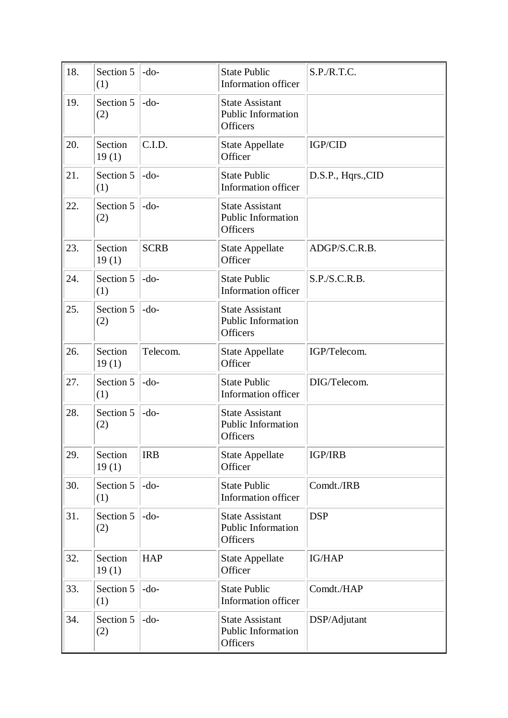| 18. | Section 5<br>(1) | $-do-$      | <b>State Public</b><br>Information officer                      | S.P.R.T.C.         |
|-----|------------------|-------------|-----------------------------------------------------------------|--------------------|
| 19. | Section 5<br>(2) | $-do-$      | <b>State Assistant</b><br><b>Public Information</b><br>Officers |                    |
| 20. | Section<br>19(1) | C.I.D.      | <b>State Appellate</b><br>Officer                               | IGP/CID            |
| 21. | Section 5<br>(1) | $-do-$      | <b>State Public</b><br>Information officer                      | D.S.P., Hqrs., CID |
| 22. | Section 5<br>(2) | $-do-$      | <b>State Assistant</b><br><b>Public Information</b><br>Officers |                    |
| 23. | Section<br>19(1) | <b>SCRB</b> | <b>State Appellate</b><br>Officer                               | ADGP/S.C.R.B.      |
| 24. | Section 5<br>(1) | $-do-$      | <b>State Public</b><br><b>Information officer</b>               | S.P.S.C.R.B.       |
| 25. | Section 5<br>(2) | $-do-$      | <b>State Assistant</b><br><b>Public Information</b><br>Officers |                    |
| 26. | Section<br>19(1) | Telecom.    | <b>State Appellate</b><br>Officer                               | IGP/Telecom.       |
| 27. | Section 5<br>(1) | $-do-$      | <b>State Public</b><br>Information officer                      | DIG/Telecom.       |
| 28. | Section 5<br>(2) | $-do-$      | <b>State Assistant</b><br>Public Information<br>Officers        |                    |
| 29. | Section<br>19(1) | <b>IRB</b>  | <b>State Appellate</b><br>Officer                               | <b>IGP/IRB</b>     |
| 30. | Section 5<br>(1) | $-do-$      | <b>State Public</b><br>Information officer                      | Comdt./IRB         |
| 31. | Section 5<br>(2) | $-do-$      | <b>State Assistant</b><br><b>Public Information</b><br>Officers | <b>DSP</b>         |
| 32. | Section<br>19(1) | <b>HAP</b>  | <b>State Appellate</b><br>Officer                               | <b>IG/HAP</b>      |
| 33. | Section 5<br>(1) | $-do-$      | <b>State Public</b><br>Information officer                      | Comdt./HAP         |
| 34. | Section 5<br>(2) | $-do-$      | <b>State Assistant</b><br><b>Public Information</b><br>Officers | DSP/Adjutant       |